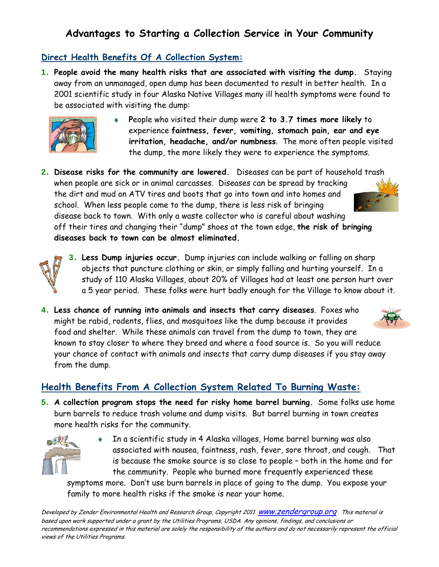# **Advantages to Starting a Collection Service in Your Community**

### **Direct Health Benefits Of A Collection System:**

1. **People avoid the many health risks that are associated with visiting the dump.** Staying away from an unmanaged, open dump has been documented to result in better health. In a 2001 scientific study in four Alaska Native Villages many ill health symptoms were found to be associated with visiting the dump:



- **P**eople who visited their dump were **2 to 3.7 times more likely** to experience **faintness, fever, vomiting, stomach pain, ear and eye irritation, headache, and/or numbness**. The more often people visited the dump, the more likely they were to experience the symptoms.
- 2. **Disease risks for the community are lowered.** Diseases can be part of household trash when people are sick or in animal carcasses. Diseases can be spread by tracking the dirt and mud on ATV tires and boots that go into town and into homes and school. When less people come to the dump, there is less risk of bringing disease back to town. With only a waste collector who is careful about washing off their tires and changing their "dump" shoes at the town edge, **the risk of bringing diseases back to town can be almost eliminated.**



- 3. **Less Dump injuries occur.** Dump injuries can include walking or falling on sharp objects that puncture clothing or skin, or simply falling and hurting yourself. In a study of 110 Alaska Villages, about 20% of Villages had at least one person hurt over a 5 year period. These folks were hurt badly enough for the Village to know about it.
- 4. **Less chance of running into animals and insects that carry diseases**. Foxes who might be rabid, rodents, flies, and mosquitoes like the dump because it provides food and shelter. While these animals can travel from the dump to town, they are known to stay closer to where they breed and where a food source is. So you will reduce your chance of contact with animals and insects that carry dump diseases if you stay away from the dump.

## **Health Benefits From A Collection System Related To Burning Waste:**

5. **A collection program stops the need for risky home barrel burning.** Some folks use home burn barrels to reduce trash volume and dump visits. But barrel burning in town creates more health risks for the community.



 In a scientific study in 4 Alaska villages, Home barrel burning was also associated with nausea, faintness, rash, fever, sore throat, and cough. That is because the smoke source is so close to people – both in the home and for the community. People who burned more frequently experienced these

symptoms more. Don't use burn barrels in place of going to the dump. You expose your family to more health risks if the smoke is near your home.

Developed by Zender Environmental Health and Research Group, Copyright 2011 WWW.Zendergroup.org. This material is based upon work supported under a grant by the Utilities Programs, USDA. Any opinions, findings, and conclusions or recommendations expressed in this material are solely the responsibility of the authors and do not necessarily represent the official views of the Utilities Programs.

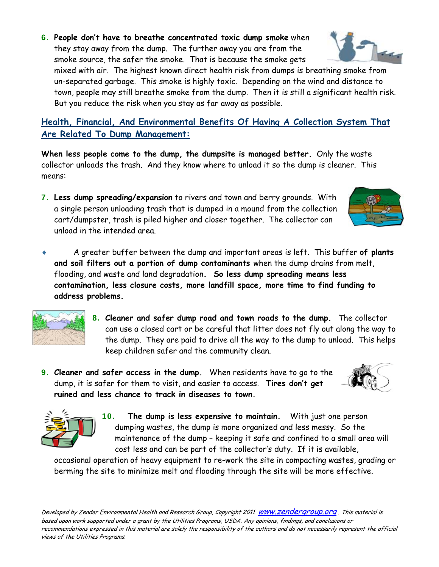6. **People don't have to breathe concentrated toxic dump smoke** when they stay away from the dump. The further away you are from the

smoke source, the safer the smoke. That is because the smoke gets mixed with air. The highest known direct health risk from dumps is breathing smoke from un-separated garbage. This smoke is highly toxic. Depending on the wind and distance to town, people may still breathe smoke from the dump. Then it is still a significant health risk. But you reduce the risk when you stay as far away as possible.

**Health, Financial, And Environmental Benefits Of Having A Collection System That Are Related To Dump Management:**

**When less people come to the dump, the dumpsite is managed better.** Only the waste collector unloads the trash. And they know where to unload it so the dump is cleaner. This means:

- 7. **Less dump spreading/expansion** to rivers and town and berry grounds. With a single person unloading trash that is dumped in a mound from the collection cart/dumpster, trash is piled higher and closer together. The collector can unload in the intended area.
- A greater buffer between the dump and important areas is left. This buffer **of plants and soil filters out a portion of dump contaminants** when the dump drains from melt, flooding, and waste and land degradation**. So less dump spreading means less contamination, less closure costs, more landfill space, more time to find funding to address problems.**
	- 8. **Cleaner and safer dump road and town roads to the dump.** The collector can use a closed cart or be careful that litter does not fly out along the way to the dump. They are paid to drive all the way to the dump to unload. This helps keep children safer and the community clean.
- 9. **Cleaner and safer access in the dump.** When residents have to go to the dump, it is safer for them to visit, and easier to access. **Tires don't get ruined and less chance to track in diseases to town.**

10. **The dump is less expensive to maintain.** With just one person dumping wastes, the dump is more organized and less messy. So the maintenance of the dump – keeping it safe and confined to a small area will cost less and can be part of the collector's duty. If it is available,

occasional operation of heavy equipment to re-work the site in compacting wastes, grading or berming the site to minimize melt and flooding through the site will be more effective.









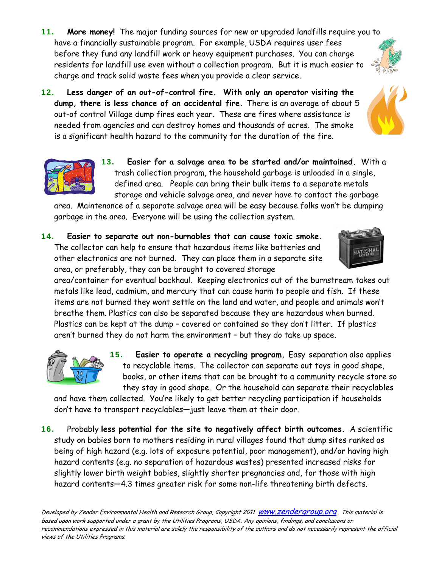Developed by Zender Environmental Health and Research Group, Copyright 2011 WWW.Zendergroup.org. This material is based upon work supported under a grant by the Utilities Programs, USDA. Any opinions, findings, and conclusions or recommendations expressed in this material are solely the responsibility of the authors and do not necessarily represent the official views of the Utilities Programs.

- 11. **More money!** The major funding sources for new or upgraded landfills require you to have a financially sustainable program. For example, USDA requires user fees before they fund any landfill work or heavy equipment purchases. You can charge residents for landfill use even without a collection program. But it is much easier to charge and track solid waste fees when you provide a clear service.
- 12. **Less danger of an out-of-control fire. With only an operator visiting the dump, there is less chance of an accidental fire.** There is an average of about 5 out-of control Village dump fires each year. These are fires where assistance is needed from agencies and can destroy homes and thousands of acres. The smoke is a significant health hazard to the community for the duration of the fire.
	- 13. **Easier for a salvage area to be started and/or maintained.** With a trash collection program, the household garbage is unloaded in a single, defined area. People can bring their bulk items to a separate metals storage and vehicle salvage area, and never have to contact the garbage

area. Maintenance of a separate salvage area will be easy because folks won't be dumping garbage in the area. Everyone will be using the collection system.

14. **Easier to separate out non-burnables that can cause toxic smoke.**  The collector can help to ensure that hazardous items like batteries and other electronics are not burned. They can place them in a separate site area, or preferably, they can be brought to covered storage

area/container for eventual backhaul. Keeping electronics out of the burnstream takes out metals like lead, cadmium, and mercury that can cause harm to people and fish. If these items are not burned they wont settle on the land and water, and people and animals won't breathe them. Plastics can also be separated because they are hazardous when burned. Plastics can be kept at the dump – covered or contained so they don't litter. If plastics aren't burned they do not harm the environment – but they do take up space.

> 15. **Easier to operate a recycling program.** Easy separation also applies to recyclable items. The collector can separate out toys in good shape, books, or other items that can be brought to a community recycle store so they stay in good shape. Or the household can separate their recyclables

and have them collected. You're likely to get better recycling participation if households don't have to transport recyclables—just leave them at their door.

16. Probably **less potential for the site to negatively affect birth outcomes.** A scientific study on babies born to mothers residing in rural villages found that dump sites ranked as being of high hazard (e.g. lots of exposure potential, poor management), and/or having high hazard contents (e.g. no separation of hazardous wastes) presented increased risks for slightly lower birth weight babies, slightly shorter pregnancies and, for those with high hazard contents—4.3 times greater risk for some non-life threatening birth defects.